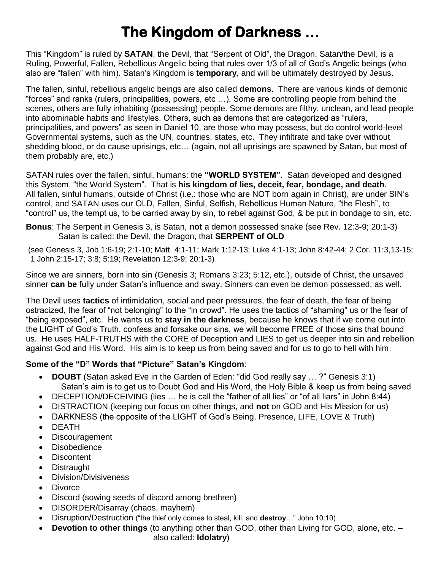# **The Kingdom of Darkness …**

This "Kingdom" is ruled by **SATAN**, the Devil, that "Serpent of Old", the Dragon. Satan/the Devil, is a Ruling, Powerful, Fallen, Rebellious Angelic being that rules over 1/3 of all of God's Angelic beings (who also are "fallen" with him). Satan's Kingdom is **temporary**, and will be ultimately destroyed by Jesus.

The fallen, sinful, rebellious angelic beings are also called **demons**. There are various kinds of demonic "forces" and ranks (rulers, principalities, powers, etc …). Some are controlling people from behind the scenes, others are fully inhabiting (possessing) people. Some demons are filthy, unclean, and lead people into abominable habits and lifestyles. Others, such as demons that are categorized as "rulers, principalities, and powers" as seen in Daniel 10, are those who may possess, but do control world-level Governmental systems, such as the UN, countries, states, etc. They infiltrate and take over without shedding blood, or do cause uprisings, etc… (again, not all uprisings are spawned by Satan, but most of them probably are, etc.)

SATAN rules over the fallen, sinful, humans: the **"WORLD SYSTEM"**. Satan developed and designed this System, "the World System". That is **his kingdom of lies, deceit, fear, bondage, and death**. All fallen, sinful humans, outside of Christ (i.e.: those who are NOT born again in Christ), are under SIN's control, and SATAN uses our OLD, Fallen, Sinful, Selfish, Rebellious Human Nature, "the Flesh", to "control" us, the tempt us, to be carried away by sin, to rebel against God, & be put in bondage to sin, etc.

**Bonus**: The Serpent in Genesis 3, is Satan, **not** a demon possessed snake (see Rev. 12:3-9; 20:1-3) Satan is called: the Devil, the Dragon, that **SERPENT of OLD**

(see Genesis 3, Job 1:6-19; 2:1-10; Matt. 4:1-11; Mark 1:12-13; Luke 4:1-13; John 8:42-44; 2 Cor. 11:3,13-15; 1 John 2:15-17; 3:8; 5:19; Revelation 12:3-9; 20:1-3)

Since we are sinners, born into sin (Genesis 3; Romans 3:23; 5:12, etc.), outside of Christ, the unsaved sinner **can be** fully under Satan's influence and sway. Sinners can even be demon possessed, as well.

The Devil uses **tactics** of intimidation, social and peer pressures, the fear of death, the fear of being ostracized, the fear of "not belonging" to the "in crowd". He uses the tactics of "shaming" us or the fear of "being exposed", etc. He wants us to **stay in the darkness**, because he knows that if we come out into the LIGHT of God's Truth, confess and forsake our sins, we will become FREE of those sins that bound us. He uses HALF-TRUTHS with the CORE of Deception and LIES to get us deeper into sin and rebellion against God and His Word. His aim is to keep us from being saved and for us to go to hell with him.

### **Some of the "D" Words that "Picture" Satan's Kingdom**:

- **DOUBT** (Satan asked Eve in the Garden of Eden: "did God really say … ?" Genesis 3:1) Satan's aim is to get us to Doubt God and His Word, the Holy Bible & keep us from being saved
- DECEPTION/DECEIVING (lies ... he is call the "father of all lies" or "of all liars" in John 8:44)
- DISTRACTION (keeping our focus on other things, and **not** on GOD and His Mission for us)
- DARKNESS (the opposite of the LIGHT of God's Being, Presence, LIFE, LOVE & Truth)
- DEATH
- Discouragement
- **Disobedience**
- **Discontent**
- **Distraught**
- Division/Divisiveness
- **Divorce**
- Discord (sowing seeds of discord among brethren)
- DISORDER/Disarray (chaos, mayhem)
- Disruption/Destruction ("the thief only comes to steal, kill, and **destroy**…" John 10:10)
- **Devotion to other things** (to anything other than GOD, other than Living for GOD, alone, etc. –